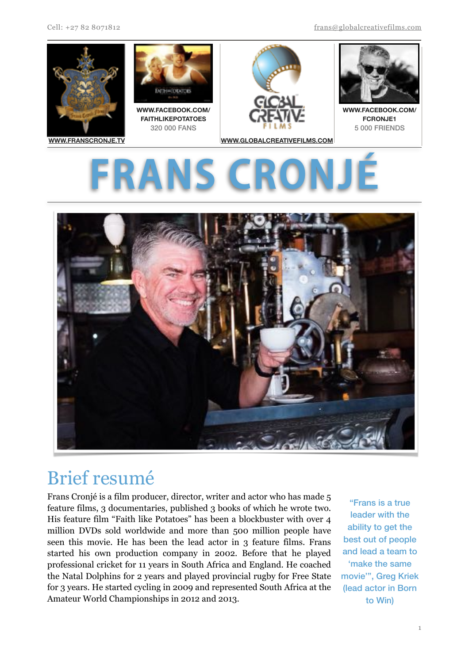Cell: +27 82 8071812 [frans@globalcreativefilms.com](mailto:frans@globalcreativefilms.com)





# Brief resumé

Frans Cronjé is a film producer, director, writer and actor who has made 5 feature films, 3 documentaries, published 3 books of which he wrote two. His feature film "Faith like Potatoes" has been a blockbuster with over 4 million DVDs sold worldwide and more than 500 million people have seen this movie. He has been the lead actor in 3 feature films. Frans started his own production company in 2002. Before that he played professional cricket for 11 years in South Africa and England. He coached the Natal Dolphins for 2 years and played provincial rugby for Free State for 3 years. He started cycling in 2009 and represented South Africa at the Amateur World Championships in 2012 and 2013.

"Frans is a true leader with the ability to get the best out of people and lead a team to 'make the same movie'", Greg Kriek (lead actor in Born to Win)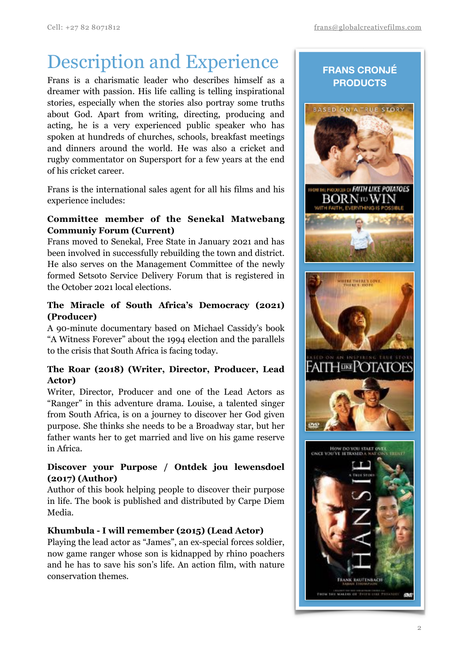## Description and Experience

Frans is a charismatic leader who describes himself as a dreamer with passion. His life calling is telling inspirational stories, especially when the stories also portray some truths about God. Apart from writing, directing, producing and acting, he is a very experienced public speaker who has spoken at hundreds of churches, schools, breakfast meetings and dinners around the world. He was also a cricket and rugby commentator on Supersport for a few years at the end of his cricket career.

Frans is the international sales agent for all his films and his experience includes:

#### **Committee member of the Senekal Matwebang Communiy Forum (Current)**

Frans moved to Senekal, Free State in January 2021 and has been involved in successfully rebuilding the town and district. He also serves on the Management Committee of the newly formed Setsoto Service Delivery Forum that is registered in the October 2021 local elections.

## **The Miracle of South Africa's Democracy (2021) (Producer)**

A 90-minute documentary based on Michael Cassidy's book "A Witness Forever" about the 1994 election and the parallels to the crisis that South Africa is facing today.

## **The Roar (2018) (Writer, Director, Producer, Lead Actor)**

Writer, Director, Producer and one of the Lead Actors as "Ranger" in this adventure drama. Louise, a talented singer from South Africa, is on a journey to discover her God given purpose. She thinks she needs to be a Broadway star, but her father wants her to get married and live on his game reserve in Africa.

## **Discover your Purpose / Ontdek jou lewensdoel (2017) (Author)**

Author of this book helping people to discover their purpose in life. The book is published and distributed by Carpe Diem Media.

## **Khumbula - I will remember (2015) (Lead Actor)**

Playing the lead actor as "James", an ex-special forces soldier, now game ranger whose son is kidnapped by rhino poachers and he has to save his son's life. An action film, with nature conservation themes.

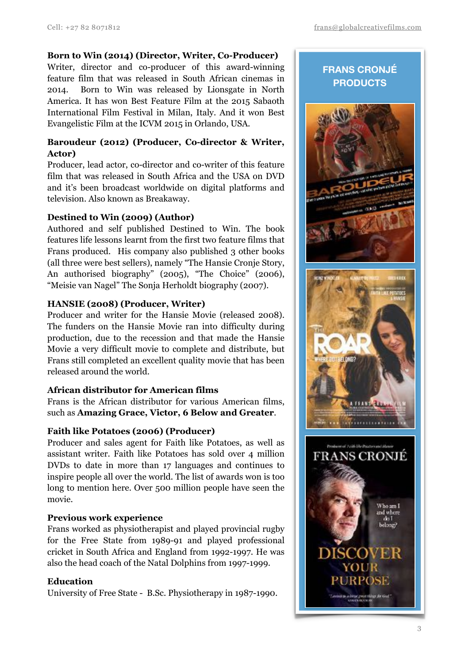## **Born to Win (2014) (Director, Writer, Co-Producer)**

Writer, director and co-producer of this award-winning feature film that was released in South African cinemas in 2014. Born to Win was released by Lionsgate in North America. It has won Best Feature Film at the 2015 Sabaoth International Film Festival in Milan, Italy. And it won Best Evangelistic Film at the ICVM 2015 in Orlando, USA.

## **Baroudeur (2012) (Producer, Co-director & Writer, Actor)**

Producer, lead actor, co-director and co-writer of this feature film that was released in South Africa and the USA on DVD and it's been broadcast worldwide on digital platforms and television. Also known as Breakaway.

## **Destined to Win (2009) (Author)**

Authored and self published Destined to Win. The book features life lessons learnt from the first two feature films that Frans produced. His company also published 3 other books (all three were best sellers), namely "The Hansie Cronje Story, An authorised biography" (2005), "The Choice" (2006), "Meisie van Nagel" The Sonja Herholdt biography (2007).

## **HANSIE (2008) (Producer, Writer)**

Producer and writer for the Hansie Movie (released 2008). The funders on the Hansie Movie ran into difficulty during production, due to the recession and that made the Hansie Movie a very difficult movie to complete and distribute, but Frans still completed an excellent quality movie that has been released around the world.

## **African distributor for American films**

Frans is the African distributor for various American films, such as **Amazing Grace, Victor, 6 Below and Greater**.

## **Faith like Potatoes (2006) (Producer)**

Producer and sales agent for Faith like Potatoes, as well as assistant writer. Faith like Potatoes has sold over 4 million DVDs to date in more than 17 languages and continues to inspire people all over the world. The list of awards won is too long to mention here. Over 500 million people have seen the movie.

## **Previous work experience**

Frans worked as physiotherapist and played provincial rugby for the Free State from 1989-91 and played professional cricket in South Africa and England from 1992-1997. He was also the head coach of the Natal Dolphins from 1997-1999.

## **Education**

University of Free State - B.Sc. Physiotherapy in 1987-1990.